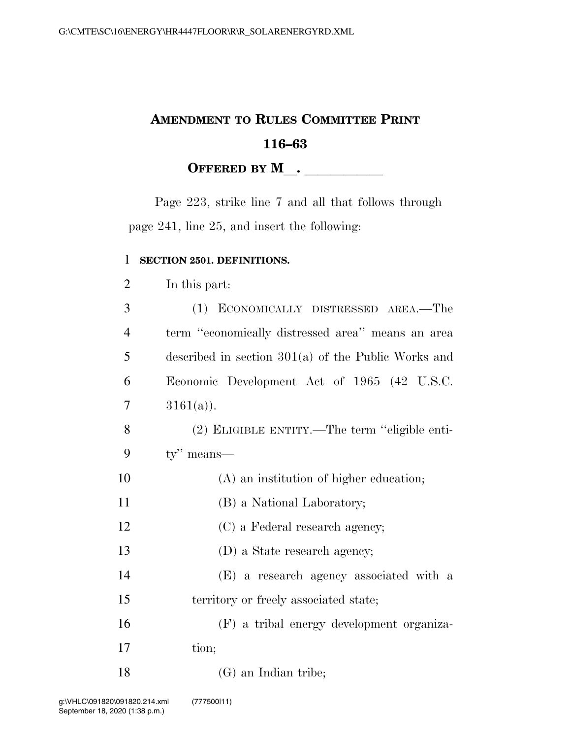# **AMENDMENT TO RULES COMMITTEE PRINT 116–63 OFFERED BY M**.

Page 223, strike line 7 and all that follows through page 241, line 25, and insert the following:

## **SECTION 2501. DEFINITIONS.**

In this part:

| 3               | (1) ECONOMICALLY DISTRESSED AREA.—The                 |
|-----------------|-------------------------------------------------------|
| $\overline{4}$  | term "economically distressed area" means an area     |
| $5^{\circ}$     | described in section $301(a)$ of the Public Works and |
| 6               | Economic Development Act of 1965 (42 U.S.C.           |
| $7\phantom{.0}$ | $3161(a)$ ).                                          |

 (2) ELIGIBLE ENTITY.—The term ''eligible enti-ty'' means—

- (A) an institution of higher education;
- (B) a National Laboratory;
- 12 (C) a Federal research agency;
- (D) a State research agency;

 (E) a research agency associated with a territory or freely associated state;

 (F) a tribal energy development organiza-tion;

(G) an Indian tribe;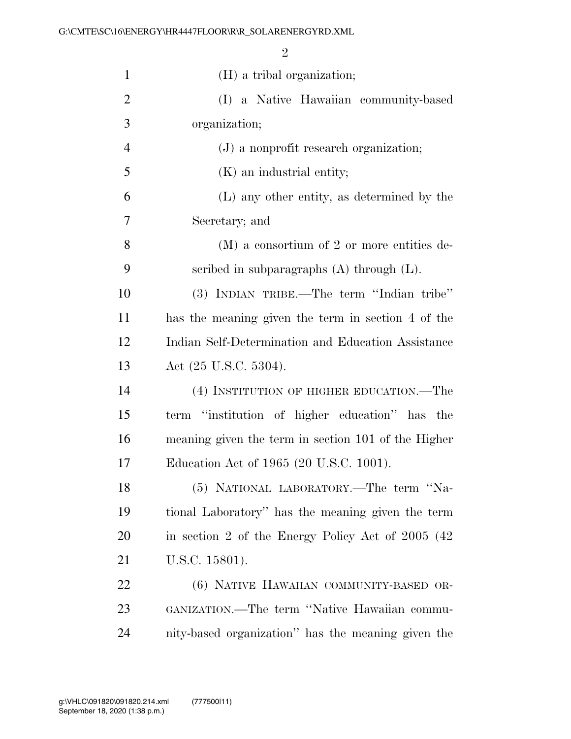| $\mathbf{1}$   | (H) a tribal organization;                          |
|----------------|-----------------------------------------------------|
| $\overline{2}$ | (I) a Native Hawaiian community-based               |
| 3              | organization;                                       |
| $\overline{4}$ | $(J)$ a nonprofit research organization;            |
| 5              | (K) an industrial entity;                           |
| 6              | (L) any other entity, as determined by the          |
| 7              | Secretary; and                                      |
| 8              | $(M)$ a consortium of 2 or more entities de-        |
| 9              | scribed in subparagraphs $(A)$ through $(L)$ .      |
| 10             | (3) INDIAN TRIBE.—The term "Indian tribe"           |
| 11             | has the meaning given the term in section 4 of the  |
| 12             | Indian Self-Determination and Education Assistance  |
| 13             | Act $(25 \text{ U.S.C. } 5304)$ .                   |
| 14             | (4) INSTITUTION OF HIGHER EDUCATION.—The            |
| 15             | term "institution of higher education" has the      |
| 16             | meaning given the term in section 101 of the Higher |
| 17             | Education Act of 1965 (20 U.S.C. 1001).             |
| 18             | (5) NATIONAL LABORATORY.—The term "Na-              |
| 19             | tional Laboratory" has the meaning given the term   |
| 20             | in section 2 of the Energy Policy Act of 2005 (42)  |
| 21             | U.S.C. 15801).                                      |
| 22             | (6) NATIVE HAWAIIAN COMMUNITY-BASED OR-             |
| 23             | GANIZATION.—The term "Native Hawaiian commu-        |
| 24             | nity-based organization" has the meaning given the  |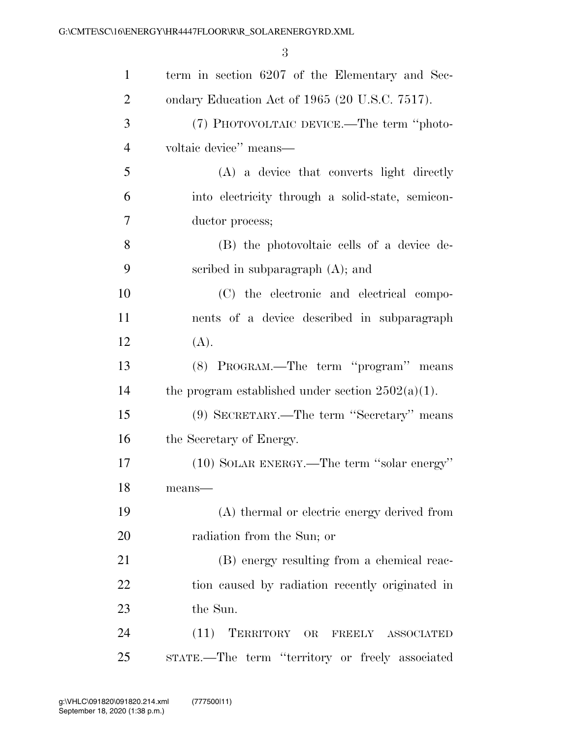| $\mathbf{1}$   | term in section 6207 of the Elementary and Sec-      |
|----------------|------------------------------------------------------|
| 2              | ondary Education Act of 1965 (20 U.S.C. 7517).       |
| 3              | (7) PHOTOVOLTAIC DEVICE.—The term "photo-            |
| $\overline{4}$ | voltaic device" means—                               |
| 5              | (A) a device that converts light directly            |
| 6              | into electricity through a solid-state, semicon-     |
| 7              | ductor process;                                      |
| 8              | (B) the photovoltaic cells of a device de-           |
| 9              | scribed in subparagraph $(A)$ ; and                  |
| 10             | (C) the electronic and electrical compo-             |
| 11             | nents of a device described in subparagraph          |
| 12             | (A).                                                 |
| 13             | (8) PROGRAM.—The term "program" means                |
| 14             | the program established under section $2502(a)(1)$ . |
| 15             | (9) SECRETARY.—The term "Secretary" means            |
| 16             | the Secretary of Energy.                             |
| 17             | (10) SOLAR ENERGY.—The term "solar energy"           |
| 18             | means-                                               |
| 19             | (A) thermal or electric energy derived from          |
| 20             | radiation from the Sun; or                           |
| 21             | (B) energy resulting from a chemical reac-           |
| 22             | tion caused by radiation recently originated in      |
| 23             | the Sun.                                             |
| 24             | (11)<br>TERRITORY OR FREELY ASSOCIATED               |
| 25             | STATE.—The term "territory or freely associated      |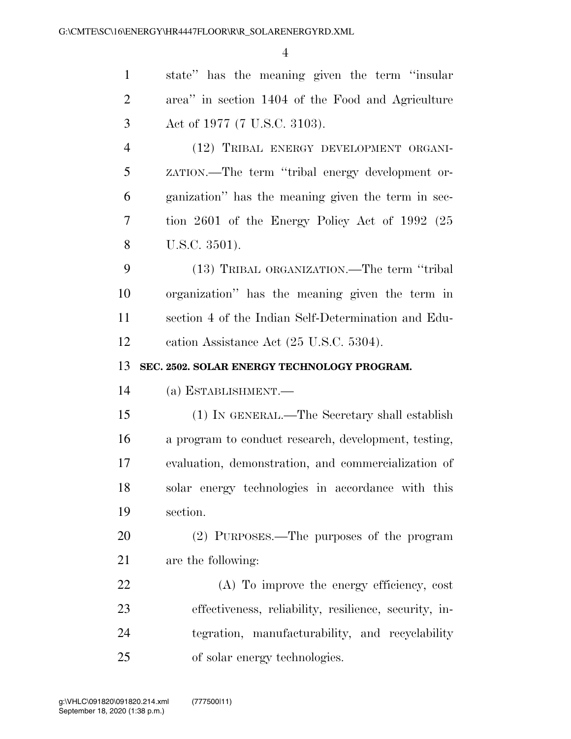| $\mathbf{1}$   | state" has the meaning given the term "insular"       |
|----------------|-------------------------------------------------------|
| $\overline{2}$ | area" in section 1404 of the Food and Agriculture     |
| 3              | Act of 1977 (7 U.S.C. 3103).                          |
| $\overline{4}$ | (12) TRIBAL ENERGY DEVELOPMENT ORGANI-                |
| 5              | zarion.—The term "tribal energy development or-       |
| 6              | ganization" has the meaning given the term in sec-    |
| 7              | tion 2601 of the Energy Policy Act of 1992 $(25)$     |
| 8              | U.S.C. 3501).                                         |
| 9              | (13) TRIBAL ORGANIZATION.—The term "tribal            |
| 10             | organization" has the meaning given the term in       |
| 11             | section 4 of the Indian Self-Determination and Edu-   |
| 12             | cation Assistance Act (25 U.S.C. 5304).               |
| 13             | SEC. 2502. SOLAR ENERGY TECHNOLOGY PROGRAM.           |
| 14             | (a) ESTABLISHMENT.—                                   |
| 15             | (1) IN GENERAL.—The Secretary shall establish         |
| 16             | a program to conduct research, development, testing,  |
| 17             | evaluation, demonstration, and commercialization of   |
| 18             | solar energy technologies in accordance with this     |
| 19             | section.                                              |
| 20             | (2) PURPOSES.—The purposes of the program             |
| 21             | are the following:                                    |
| 22             | (A) To improve the energy efficiency, cost            |
| 23             | effectiveness, reliability, resilience, security, in- |
| 24             | tegration, manufacturability, and recyclability       |
|                |                                                       |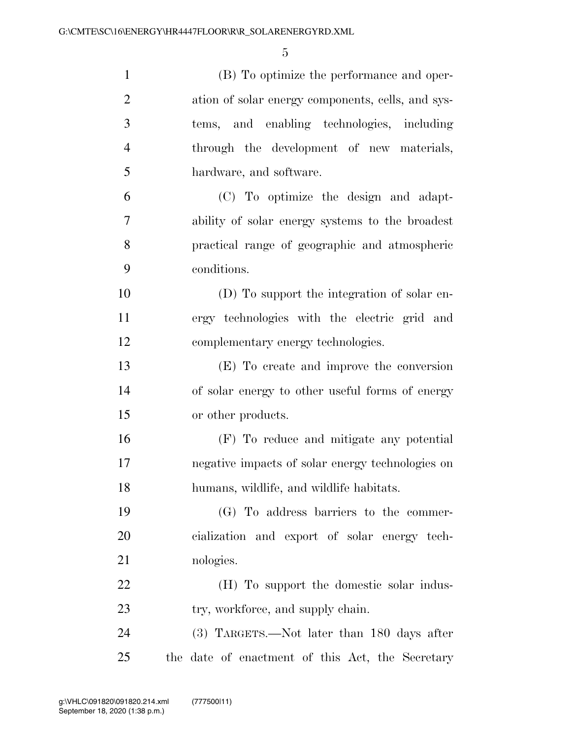| $\mathbf{1}$   | (B) To optimize the performance and oper-         |
|----------------|---------------------------------------------------|
| $\overline{2}$ | ation of solar energy components, cells, and sys- |
| 3              | tems, and enabling technologies, including        |
| $\overline{4}$ | through the development of new materials,         |
| 5              | hardware, and software.                           |
| 6              | (C) To optimize the design and adapt-             |
| 7              | ability of solar energy systems to the broadest   |
| 8              | practical range of geographic and atmospheric     |
| 9              | conditions.                                       |
| 10             | (D) To support the integration of solar en-       |
| 11             | ergy technologies with the electric grid and      |
| 12             | complementary energy technologies.                |
| 13             | (E) To create and improve the conversion          |
| 14             | of solar energy to other useful forms of energy   |
| 15             | or other products.                                |
| 16             | (F) To reduce and mitigate any potential          |
| 17             | negative impacts of solar energy technologies on  |
| 18             | humans, wildlife, and wildlife habitats.          |
| 19             | $(G)$ To address barriers to the commer-          |
| 20             | cialization and export of solar energy tech-      |
| 21             | nologies.                                         |
| 22             | (H) To support the domestic solar indus-          |
| 23             | try, workforce, and supply chain.                 |
| 24             | (3) TARGETS.—Not later than 180 days after        |
| 25             | the date of enactment of this Act, the Secretary  |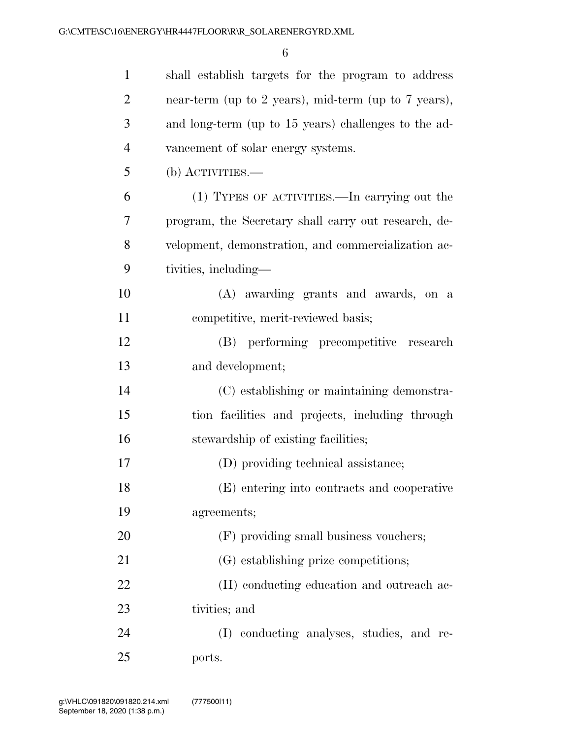| $\mathbf{1}$   | shall establish targets for the program to address   |
|----------------|------------------------------------------------------|
| $\overline{2}$ | near-term (up to 2 years), mid-term (up to 7 years), |
| 3              | and long-term (up to 15 years) challenges to the ad- |
| $\overline{4}$ | vancement of solar energy systems.                   |
| 5              | (b) ACTIVITIES.—                                     |
| 6              | (1) TYPES OF ACTIVITIES.—In carrying out the         |
| 7              | program, the Secretary shall carry out research, de- |
| 8              | velopment, demonstration, and commercialization ac-  |
| 9              | tivities, including—                                 |
| 10             | (A) awarding grants and awards, on a                 |
| 11             | competitive, merit-reviewed basis;                   |
| 12             | (B) performing precompetitive research               |
| 13             | and development;                                     |
| 14             | (C) establishing or maintaining demonstra-           |
| 15             | tion facilities and projects, including through      |
| 16             | stewardship of existing facilities;                  |
| 17             | (D) providing technical assistance;                  |
| 18             | (E) entering into contracts and cooperative          |
| 19             | agreements;                                          |
| 20             | (F) providing small business vouchers;               |
| 21             | (G) establishing prize competitions;                 |
| 22             | (H) conducting education and outreach ac-            |
| 23             | tivities; and                                        |
| 24             | (I) conducting analyses, studies, and re-            |
| 25             | ports.                                               |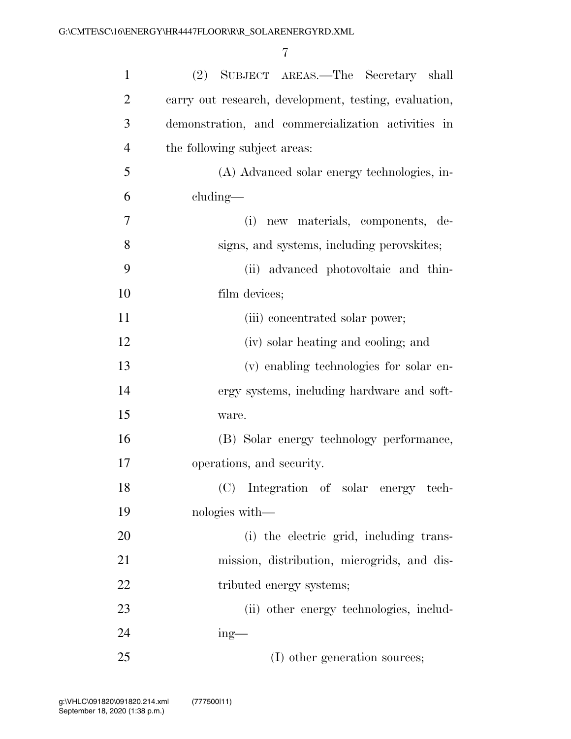| $\mathbf{1}$   | (2) SUBJECT AREAS.—The Secretary shall                |
|----------------|-------------------------------------------------------|
| $\overline{2}$ | carry out research, development, testing, evaluation, |
| 3              | demonstration, and commercialization activities in    |
| $\overline{4}$ | the following subject areas:                          |
| 5              | (A) Advanced solar energy technologies, in-           |
| 6              | $cluding$ —                                           |
| 7              | new materials, components, de-<br>(i)                 |
| 8              | signs, and systems, including perovskites;            |
| 9              | (ii) advanced photovoltaic and thin-                  |
| 10             | film devices;                                         |
| 11             | (iii) concentrated solar power;                       |
| 12             | (iv) solar heating and cooling; and                   |
| 13             | (v) enabling technologies for solar en-               |
| 14             | ergy systems, including hardware and soft-            |
| 15             | ware.                                                 |
| 16             | (B) Solar energy technology performance,              |
| 17             | operations, and security.                             |
| 18             | (C) Integration of solar energy tech-                 |
| 19             | nologies with—                                        |
| 20             | (i) the electric grid, including trans-               |
| 21             | mission, distribution, microgrids, and dis-           |
| 22             | tributed energy systems;                              |
| 23             | (ii) other energy technologies, includ-               |
| 24             | $ing$ —                                               |
| 25             | (I) other generation sources;                         |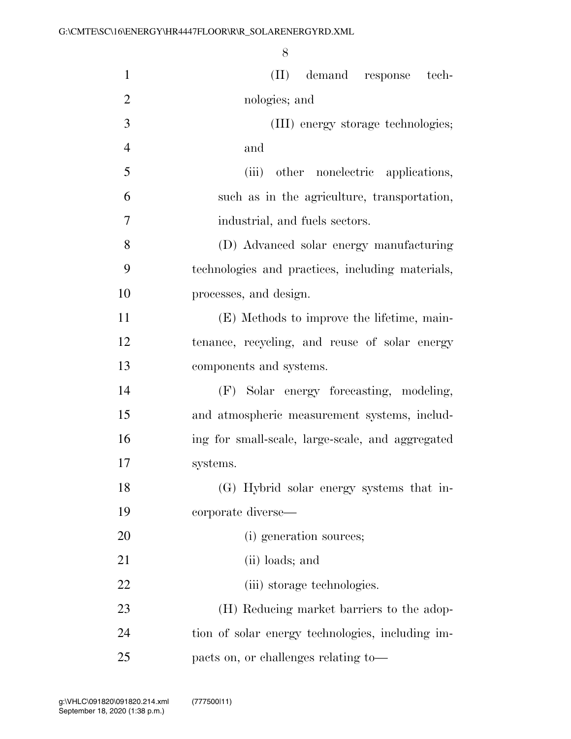| $\mathbf{1}$   | (II) demand response tech-                       |
|----------------|--------------------------------------------------|
| $\overline{2}$ | nologies; and                                    |
| 3              | (III) energy storage technologies;               |
| $\overline{4}$ | and                                              |
| 5              | (iii)<br>other nonelectric applications,         |
| 6              | such as in the agriculture, transportation,      |
| 7              | industrial, and fuels sectors.                   |
| 8              | (D) Advanced solar energy manufacturing          |
| 9              | technologies and practices, including materials, |
| 10             | processes, and design.                           |
| 11             | (E) Methods to improve the lifetime, main-       |
| 12             | tenance, recycling, and reuse of solar energy    |
| 13             | components and systems.                          |
| 14             | (F) Solar energy forecasting, modeling,          |
| 15             | and atmospheric measurement systems, includ-     |
| 16             | ing for small-scale, large-scale, and aggregated |
| 17             | systems.                                         |
| 18             | (G) Hybrid solar energy systems that in-         |
| 19             | corporate diverse—                               |
| 20             | (i) generation sources;                          |
| 21             | (ii) loads; and                                  |
| 22             | (iii) storage technologies.                      |
| 23             | (H) Reducing market barriers to the adop-        |
| 24             | tion of solar energy technologies, including im- |
| 25             | pacts on, or challenges relating to—             |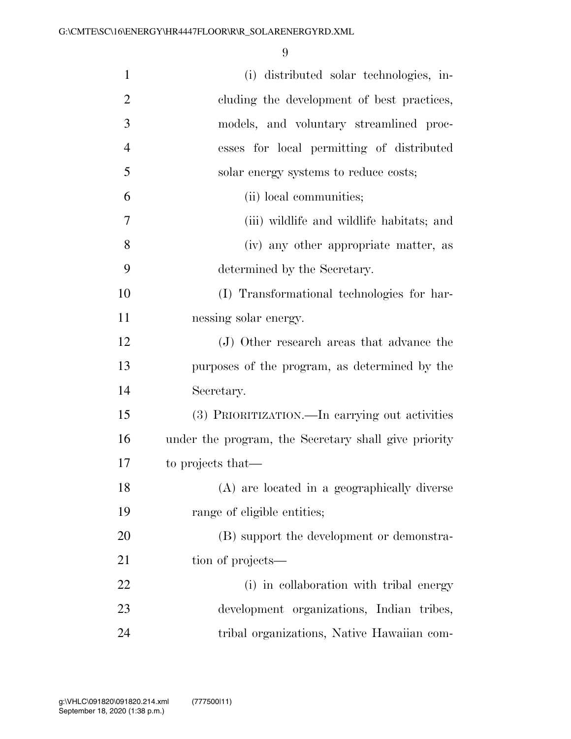| $\mathbf{1}$   | (i) distributed solar technologies, in-              |
|----------------|------------------------------------------------------|
| $\overline{2}$ | cluding the development of best practices,           |
| 3              | models, and voluntary streamlined proc-              |
| $\overline{4}$ | esses for local permitting of distributed            |
| 5              | solar energy systems to reduce costs;                |
| 6              | (ii) local communities;                              |
| 7              | (iii) wildlife and wildlife habitats; and            |
| 8              | (iv) any other appropriate matter, as                |
| 9              | determined by the Secretary.                         |
| 10             | (I) Transformational technologies for har-           |
| 11             | nessing solar energy.                                |
| 12             | (J) Other research areas that advance the            |
| 13             | purposes of the program, as determined by the        |
| 14             | Secretary.                                           |
| 15             | (3) PRIORITIZATION.—In carrying out activities       |
| 16             | under the program, the Secretary shall give priority |
| 17             | to projects that—                                    |
| 18             | (A) are located in a geographically diverse          |
| 19             | range of eligible entities;                          |
| 20             | (B) support the development or demonstra-            |
| 21             | tion of projects—                                    |
| 22             | (i) in collaboration with tribal energy              |
| 23             | development organizations, Indian tribes,            |
| 24             | tribal organizations, Native Hawaiian com-           |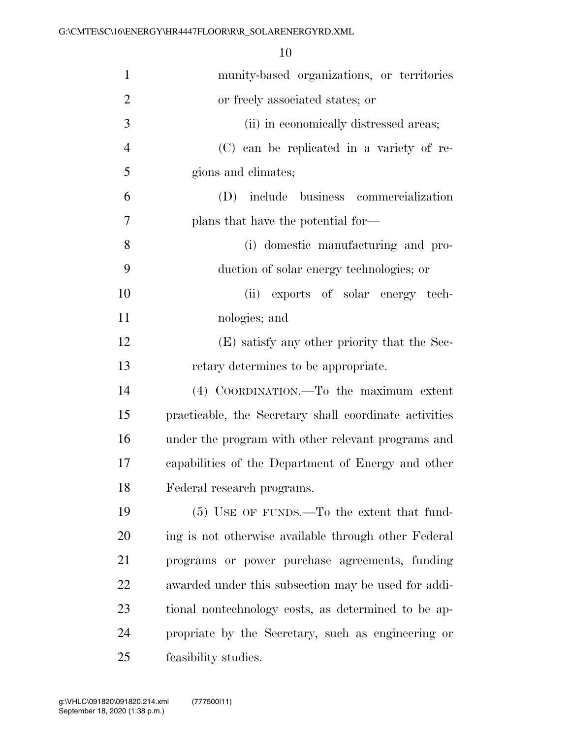| $\mathbf{1}$   | munity-based organizations, or territories             |
|----------------|--------------------------------------------------------|
| $\overline{2}$ | or freely associated states; or                        |
| 3              | (ii) in economically distressed areas;                 |
| $\overline{4}$ | (C) can be replicated in a variety of re-              |
| 5              | gions and climates;                                    |
| 6              | include business commercialization<br>(D)              |
| 7              | plans that have the potential for-                     |
| 8              | (i) domestic manufacturing and pro-                    |
| 9              | duction of solar energy technologies; or               |
| 10             | exports of solar energy tech-<br>(ii)                  |
| 11             | nologies; and                                          |
| 12             | (E) satisfy any other priority that the Sec-           |
| 13             | retary determines to be appropriate.                   |
| 14             | (4) COORDINATION.—To the maximum extent                |
| 15             | practicable, the Secretary shall coordinate activities |
| 16             | under the program with other relevant programs and     |
| 17             | capabilities of the Department of Energy and other     |
| 18             | Federal research programs.                             |
| 19             | (5) USE OF FUNDS.—To the extent that fund-             |
| 20             | ing is not otherwise available through other Federal   |
| 21             | programs or power purchase agreements, funding         |
| 22             | awarded under this subsection may be used for addi-    |
| 23             | tional nontechnology costs, as determined to be ap-    |
| 24             | propriate by the Secretary, such as engineering or     |
| 25             | feasibility studies.                                   |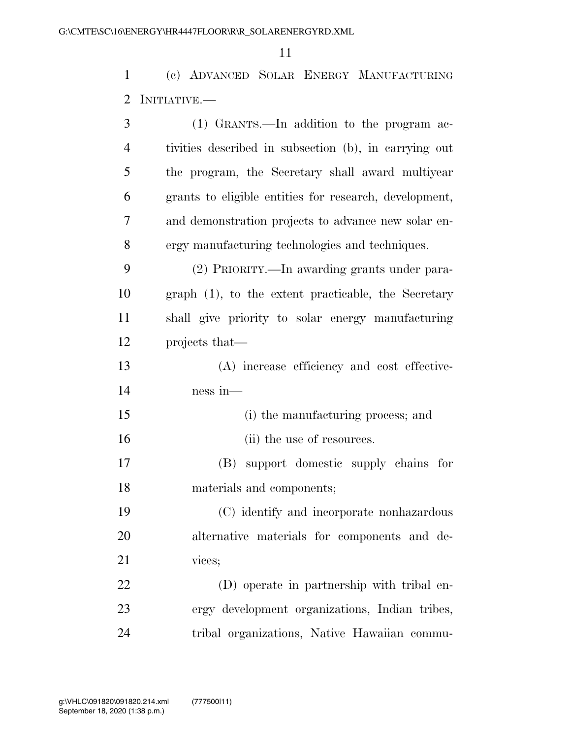(c) ADVANCED SOLAR ENERGY MANUFACTURING INITIATIVE.—

| 3              | (1) GRANTS.—In addition to the program ac-             |
|----------------|--------------------------------------------------------|
| $\overline{4}$ | tivities described in subsection (b), in carrying out  |
| 5              | the program, the Secretary shall award multiyear       |
| 6              | grants to eligible entities for research, development, |
| 7              | and demonstration projects to advance new solar en-    |
| 8              | ergy manufacturing technologies and techniques.        |
| 9              | (2) PRIORITY.—In awarding grants under para-           |
| 10             | graph (1), to the extent practicable, the Secretary    |
| 11             | shall give priority to solar energy manufacturing      |
| 12             | projects that—                                         |
| 13             | (A) increase efficiency and cost effective-            |
| 14             | ness in-                                               |
| 15             | (i) the manufacturing process; and                     |
| 16             | (ii) the use of resources.                             |
| 17             | (B) support domestic supply chains for                 |
| 18             | materials and components;                              |
| 19             | (C) identify and incorporate nonhazardous              |
| 20             | alternative materials for components and de-           |
| 21             | vices;                                                 |
| 22             | (D) operate in partnership with tribal en-             |
| 23             | ergy development organizations, Indian tribes,         |
| 24             | tribal organizations, Native Hawaiian commu-           |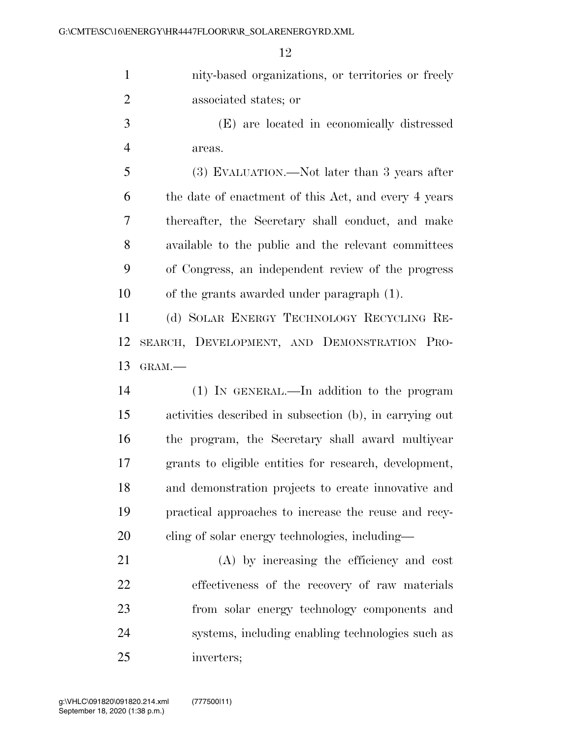nity-based organizations, or territories or freely associated states; or

 (E) are located in economically distressed areas.

 (3) EVALUATION.—Not later than 3 years after the date of enactment of this Act, and every 4 years thereafter, the Secretary shall conduct, and make available to the public and the relevant committees of Congress, an independent review of the progress of the grants awarded under paragraph (1).

 (d) SOLAR ENERGY TECHNOLOGY RECYCLING RE- SEARCH, DEVELOPMENT, AND DEMONSTRATION PRO-GRAM.—

 (1) IN GENERAL.—In addition to the program activities described in subsection (b), in carrying out the program, the Secretary shall award multiyear grants to eligible entities for research, development, and demonstration projects to create innovative and practical approaches to increase the reuse and recy-cling of solar energy technologies, including—

 (A) by increasing the efficiency and cost effectiveness of the recovery of raw materials from solar energy technology components and systems, including enabling technologies such as inverters;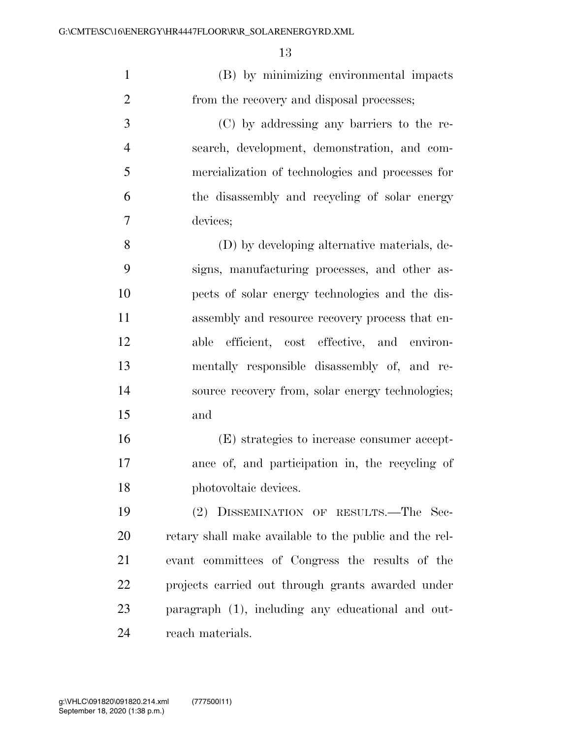(B) by minimizing environmental impacts from the recovery and disposal processes;

 (C) by addressing any barriers to the re- search, development, demonstration, and com- mercialization of technologies and processes for the disassembly and recycling of solar energy devices;

 (D) by developing alternative materials, de- signs, manufacturing processes, and other as- pects of solar energy technologies and the dis- assembly and resource recovery process that en- able efficient, cost effective, and environ- mentally responsible disassembly of, and re- source recovery from, solar energy technologies; and

 (E) strategies to increase consumer accept- ance of, and participation in, the recycling of 18 photovoltaic devices.

 (2) DISSEMINATION OF RESULTS.—The Sec- retary shall make available to the public and the rel- evant committees of Congress the results of the projects carried out through grants awarded under paragraph (1), including any educational and out-reach materials.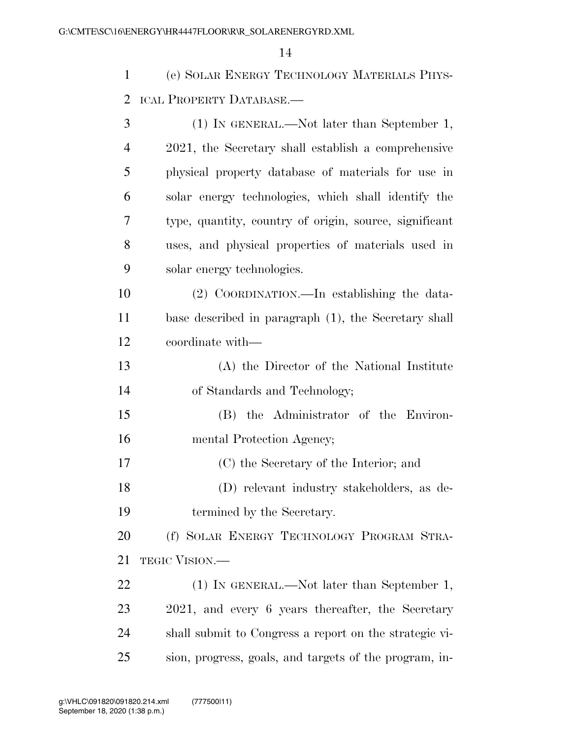| 1              | (e) SOLAR ENERGY TECHNOLOGY MATERIALS PHYS-            |
|----------------|--------------------------------------------------------|
| $\overline{2}$ | ICAL PROPERTY DATABASE.                                |
| 3              | $(1)$ IN GENERAL.—Not later than September 1,          |
| 4              | 2021, the Secretary shall establish a comprehensive    |
| 5              | physical property database of materials for use in     |
| 6              | solar energy technologies, which shall identify the    |
| 7              | type, quantity, country of origin, source, significant |
| 8              | uses, and physical properties of materials used in     |
| 9              | solar energy technologies.                             |
| 10             | (2) COORDINATION.—In establishing the data-            |
| 11             | base described in paragraph (1), the Secretary shall   |
| 12             | coordinate with—                                       |
| 13             | (A) the Director of the National Institute             |
| 14             | of Standards and Technology;                           |
| 15             | (B) the Administrator of the Environ-                  |
| 16             | mental Protection Agency;                              |
| 17             | (C) the Secretary of the Interior; and                 |
| 18             | (D) relevant industry stakeholders, as de-             |
| 19             | termined by the Secretary.                             |
| 20             | (f) SOLAR ENERGY TECHNOLOGY PROGRAM STRA-              |
| 21             | <b>TEGIC VISION.—</b>                                  |
| 22             | $(1)$ IN GENERAL.—Not later than September 1,          |
| 23             | 2021, and every 6 years thereafter, the Secretary      |
| 24             | shall submit to Congress a report on the strategic vi- |
| 25             | sion, progress, goals, and targets of the program, in- |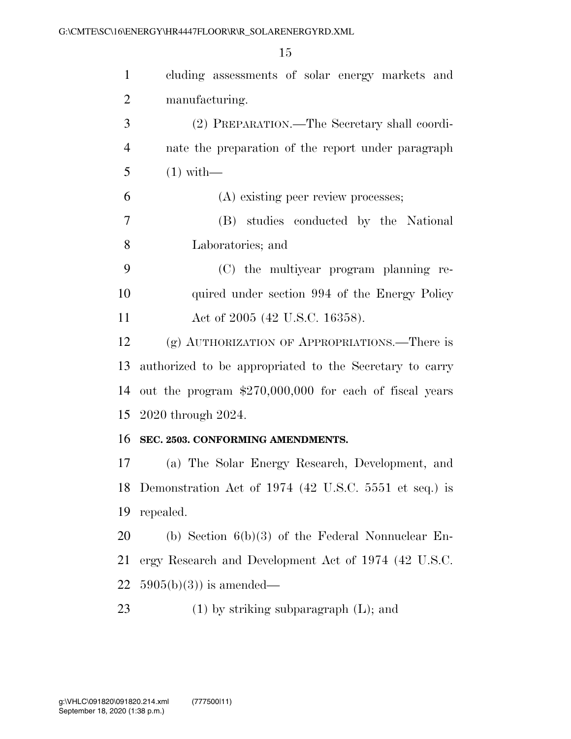| $\mathbf{1}$   | cluding assessments of solar energy markets and          |
|----------------|----------------------------------------------------------|
| $\overline{2}$ | manufacturing.                                           |
| 3              | (2) PREPARATION.—The Secretary shall coordi-             |
| 4              | nate the preparation of the report under paragraph       |
| 5              | $(1)$ with —                                             |
| 6              | (A) existing peer review processes;                      |
| $\overline{7}$ | (B) studies conducted by the National                    |
| 8              | Laboratories; and                                        |
| 9              | (C) the multiyear program planning re-                   |
| 10             | quired under section 994 of the Energy Policy            |
| 11             | Act of 2005 (42 U.S.C. 16358).                           |
| 12             | (g) AUTHORIZATION OF APPROPRIATIONS.—There is            |
| 13             | authorized to be appropriated to the Secretary to carry  |
| 14             | out the program $$270,000,000$ for each of fiscal years  |
| 15             | 2020 through 2024.                                       |
| 16             | SEC. 2503. CONFORMING AMENDMENTS.                        |
| 17             | (a) The Solar Energy Research, Development, and          |
|                | 18 Demonstration Act of 1974 (42 U.S.C. 5551 et seq.) is |
| 19             | repealed.                                                |
| 20             | (b) Section $6(b)(3)$ of the Federal Nonnuclear En-      |
| 21             | ergy Research and Development Act of 1974 (42 U.S.C.     |
| 22             | $5905(b)(3)$ is amended—                                 |
| 23             | $(1)$ by striking subparagraph $(L)$ ; and               |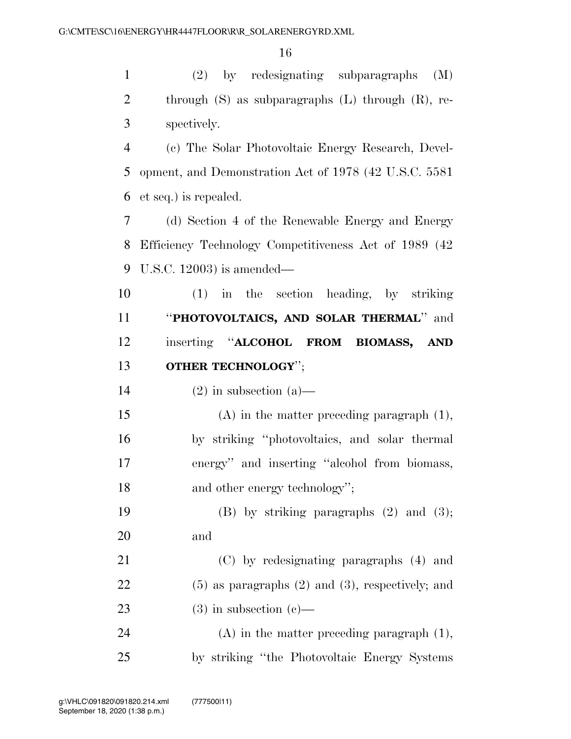(2) by redesignating subparagraphs (M) 2 through (S) as subparagraphs (L) through (R), re- spectively. (c) The Solar Photovoltaic Energy Research, Devel-

 opment, and Demonstration Act of 1978 (42 U.S.C. 5581 et seq.) is repealed.

 (d) Section 4 of the Renewable Energy and Energy Efficiency Technology Competitiveness Act of 1989 (42 U.S.C. 12003) is amended—

 (1) in the section heading, by striking ''**PHOTOVOLTAICS, AND SOLAR THERMAL**'' and inserting ''**ALCOHOL FROM BIOMASS, AND OTHER TECHNOLOGY**'';

14 (2) in subsection (a)—

 (A) in the matter preceding paragraph (1), by striking ''photovoltaics, and solar thermal energy'' and inserting ''alcohol from biomass, 18 and other energy technology";

 (B) by striking paragraphs (2) and (3); and

 (C) by redesignating paragraphs (4) and (5) as paragraphs (2) and (3), respectively; and 23 (3) in subsection  $(e)$ —

 (A) in the matter preceding paragraph (1), by striking ''the Photovoltaic Energy Systems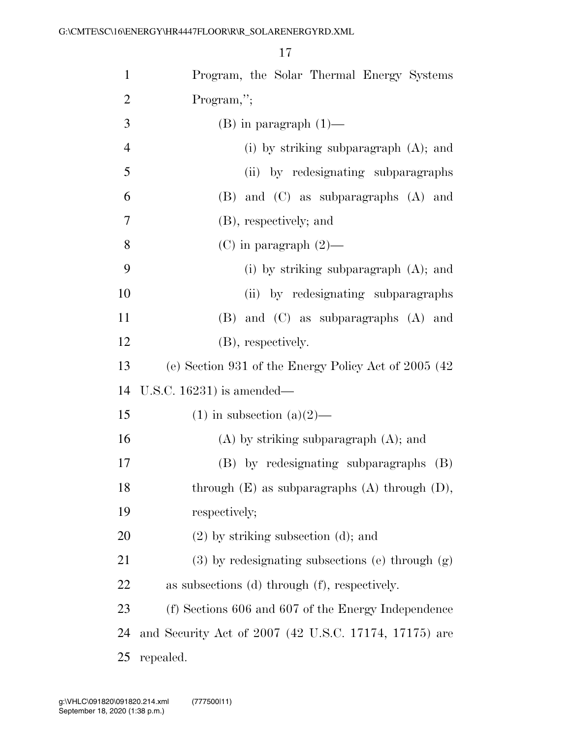| $\mathbf{1}$   | Program, the Solar Thermal Energy Systems             |
|----------------|-------------------------------------------------------|
| $\overline{2}$ | Program,";                                            |
| 3              | $(B)$ in paragraph $(1)$ —                            |
| $\overline{4}$ | (i) by striking subparagraph $(A)$ ; and              |
| 5              | (ii) by redesignating subparagraphs                   |
| 6              | $(B)$ and $(C)$ as subparagraphs $(A)$ and            |
| 7              | (B), respectively; and                                |
| 8              | $(C)$ in paragraph $(2)$ —                            |
| 9              | (i) by striking subparagraph $(A)$ ; and              |
| 10             | (ii) by redesignating subparagraphs                   |
| 11             | $(B)$ and $(C)$ as subparagraphs $(A)$ and            |
| 12             | (B), respectively.                                    |
| 13             | (e) Section 931 of the Energy Policy Act of 2005 (42) |
| 14             | U.S.C. $16231$ ) is amended—                          |
| 15             | $(1)$ in subsection $(a)(2)$ —                        |
| 16             | $(A)$ by striking subparagraph $(A)$ ; and            |
| 17             | (B) by redesignating subparagraphs (B)                |
| 18             | through $(E)$ as subparagraphs $(A)$ through $(D)$ ,  |
| 19             | respectively;                                         |
| <b>20</b>      | $(2)$ by striking subsection $(d)$ ; and              |
| 21             | $(3)$ by redesignating subsections (e) through $(g)$  |
| 22             | as subsections (d) through (f), respectively.         |
| 23             | (f) Sections 606 and 607 of the Energy Independence   |
| 24             | and Security Act of 2007 (42 U.S.C. 17174, 17175) are |
| 25             | repealed.                                             |